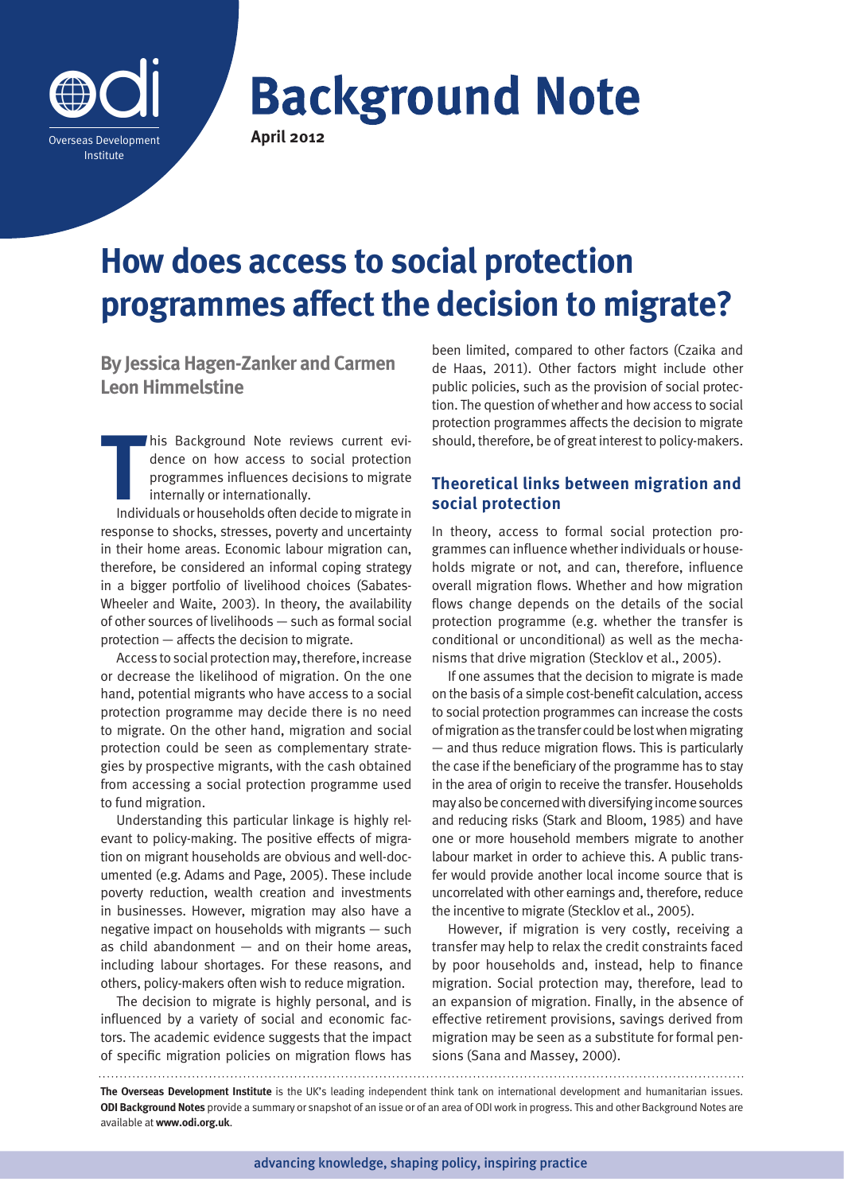

# **Background Note**

**April 2012**

# **How does access to social protection programmes affect the decision to migrate?**

**By Jessica Hagen-Zanker and Carmen Leon Himmelstine** 

**T**<br> **T**<br> **T**<br> **T** his Background Note reviews current evidence on how access to social protection programmes influences decisions to migrate internally or internationally.

Individuals or households often decide to migrate in response to shocks, stresses, poverty and uncertainty in their home areas. Economic labour migration can, therefore, be considered an informal coping strategy in a bigger portfolio of livelihood choices (Sabates-Wheeler and Waite, 2003). In theory, the availability of other sources of livelihoods — such as formal social protection — affects the decision to migrate.

Access to social protection may, therefore, increase or decrease the likelihood of migration. On the one hand, potential migrants who have access to a social protection programme may decide there is no need to migrate. On the other hand, migration and social protection could be seen as complementary strategies by prospective migrants, with the cash obtained from accessing a social protection programme used to fund migration.

Understanding this particular linkage is highly relevant to policy-making. The positive effects of migration on migrant households are obvious and well-documented (e.g. Adams and Page, 2005). These include poverty reduction, wealth creation and investments in businesses. However, migration may also have a negative impact on households with migrants — such as child abandonment  $-$  and on their home areas, including labour shortages. For these reasons, and others, policy-makers often wish to reduce migration.

The decision to migrate is highly personal, and is influenced by a variety of social and economic factors. The academic evidence suggests that the impact of specific migration policies on migration flows has been limited, compared to other factors (Czaika and de Haas, 2011). Other factors might include other public policies, such as the provision of social protection. The question of whether and how access to social protection programmes affects the decision to migrate should, therefore, be of great interest to policy-makers.

# **Theoretical links between migration and social protection**

In theory, access to formal social protection programmes can influence whether individuals or households migrate or not, and can, therefore, influence overall migration flows. Whether and how migration flows change depends on the details of the social protection programme (e.g. whether the transfer is conditional or unconditional) as well as the mechanisms that drive migration (Stecklov et al., 2005).

If one assumes that the decision to migrate is made on the basis of a simple cost-benefit calculation, access to social protection programmes can increase the costs of migration as the transfer could be lost when migrating — and thus reduce migration flows. This is particularly the case if the beneficiary of the programme has to stay in the area of origin to receive the transfer. Households may also be concerned with diversifying income sources and reducing risks (Stark and Bloom, 1985) and have one or more household members migrate to another labour market in order to achieve this. A public transfer would provide another local income source that is uncorrelated with other earnings and, therefore, reduce the incentive to migrate (Stecklov et al., 2005).

However, if migration is very costly, receiving a transfer may help to relax the credit constraints faced by poor households and, instead, help to finance migration. Social protection may, therefore, lead to an expansion of migration. Finally, in the absence of effective retirement provisions, savings derived from migration may be seen as a substitute for formal pensions (Sana and Massey, 2000).

**The Overseas Development Institute** is the UK's leading independent think tank on international development and humanitarian issues. **ODI Background Notes** provide a summary or snapshot of an issue or of an area of ODI work in progress. This and other Background Notes are available at **www.odi.org.uk**.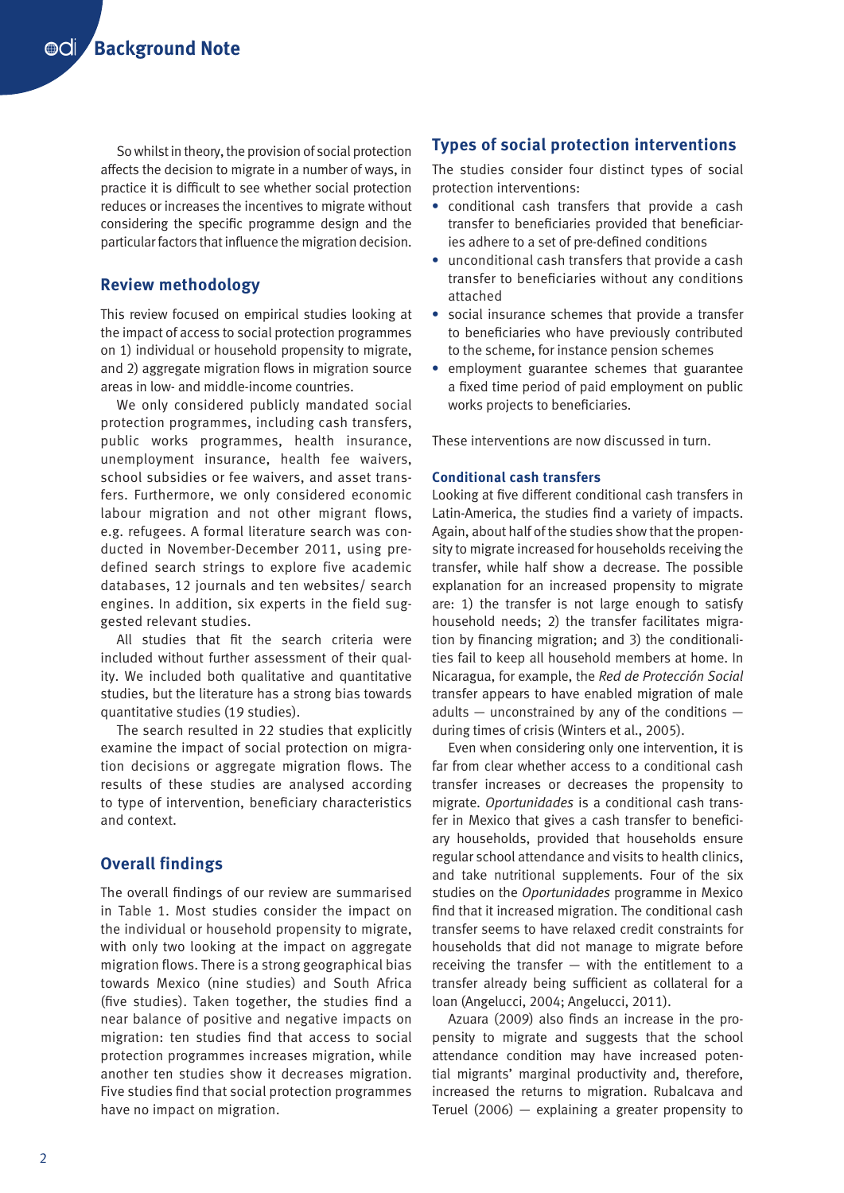So whilst in theory, the provision of social protection affects the decision to migrate in a number of ways, in practice it is difficult to see whether social protection reduces or increases the incentives to migrate without considering the specific programme design and the particular factors that influence the migration decision.

# **Review methodology**

This review focused on empirical studies looking at the impact of access to social protection programmes on 1) individual or household propensity to migrate, and 2) aggregate migration flows in migration source areas in low- and middle-income countries.

We only considered publicly mandated social protection programmes, including cash transfers, public works programmes, health insurance, unemployment insurance, health fee waivers, school subsidies or fee waivers, and asset transfers. Furthermore, we only considered economic labour migration and not other migrant flows, e.g. refugees. A formal literature search was conducted in November-December 2011, using predefined search strings to explore five academic databases, 12 journals and ten websites/ search engines. In addition, six experts in the field suggested relevant studies.

All studies that fit the search criteria were included without further assessment of their quality. We included both qualitative and quantitative studies, but the literature has a strong bias towards quantitative studies (19 studies).

The search resulted in 22 studies that explicitly examine the impact of social protection on migration decisions or aggregate migration flows. The results of these studies are analysed according to type of intervention, beneficiary characteristics and context.

# **Overall findings**

The overall findings of our review are summarised in Table 1. Most studies consider the impact on the individual or household propensity to migrate, with only two looking at the impact on aggregate migration flows. There is a strong geographical bias towards Mexico (nine studies) and South Africa (five studies). Taken together, the studies find a near balance of positive and negative impacts on migration: ten studies find that access to social protection programmes increases migration, while another ten studies show it decreases migration. Five studies find that social protection programmes have no impact on migration.

# **Types of social protection interventions**

The studies consider four distinct types of social protection interventions:

- **•** conditional cash transfers that provide a cash transfer to beneficiaries provided that beneficiaries adhere to a set of pre-defined conditions
- **•** unconditional cash transfers that provide a cash transfer to beneficiaries without any conditions attached
- **•** social insurance schemes that provide a transfer to beneficiaries who have previously contributed to the scheme, for instance pension schemes
- **•** employment guarantee schemes that guarantee a fixed time period of paid employment on public works projects to beneficiaries.

These interventions are now discussed in turn.

#### **Conditional cash transfers**

Looking at five different conditional cash transfers in Latin-America, the studies find a variety of impacts. Again, about half of the studies show that the propensity to migrate increased for households receiving the transfer, while half show a decrease. The possible explanation for an increased propensity to migrate are: 1) the transfer is not large enough to satisfy household needs; 2) the transfer facilitates migration by financing migration; and 3) the conditionalities fail to keep all household members at home. In Nicaragua, for example, the *Red de Protección Social*  transfer appears to have enabled migration of male adults — unconstrained by any of the conditions during times of crisis (Winters et al., 2005).

Even when considering only one intervention, it is far from clear whether access to a conditional cash transfer increases or decreases the propensity to migrate. *Oportunidades* is a conditional cash transfer in Mexico that gives a cash transfer to beneficiary households, provided that households ensure regular school attendance and visits to health clinics, and take nutritional supplements. Four of the six studies on the *Oportunidades* programme in Mexico find that it increased migration. The conditional cash transfer seems to have relaxed credit constraints for households that did not manage to migrate before receiving the transfer  $-$  with the entitlement to a transfer already being sufficient as collateral for a loan (Angelucci, 2004; Angelucci, 2011).

Azuara (2009) also finds an increase in the propensity to migrate and suggests that the school attendance condition may have increased potential migrants' marginal productivity and, therefore, increased the returns to migration. Rubalcava and Teruel (2006)  $-$  explaining a greater propensity to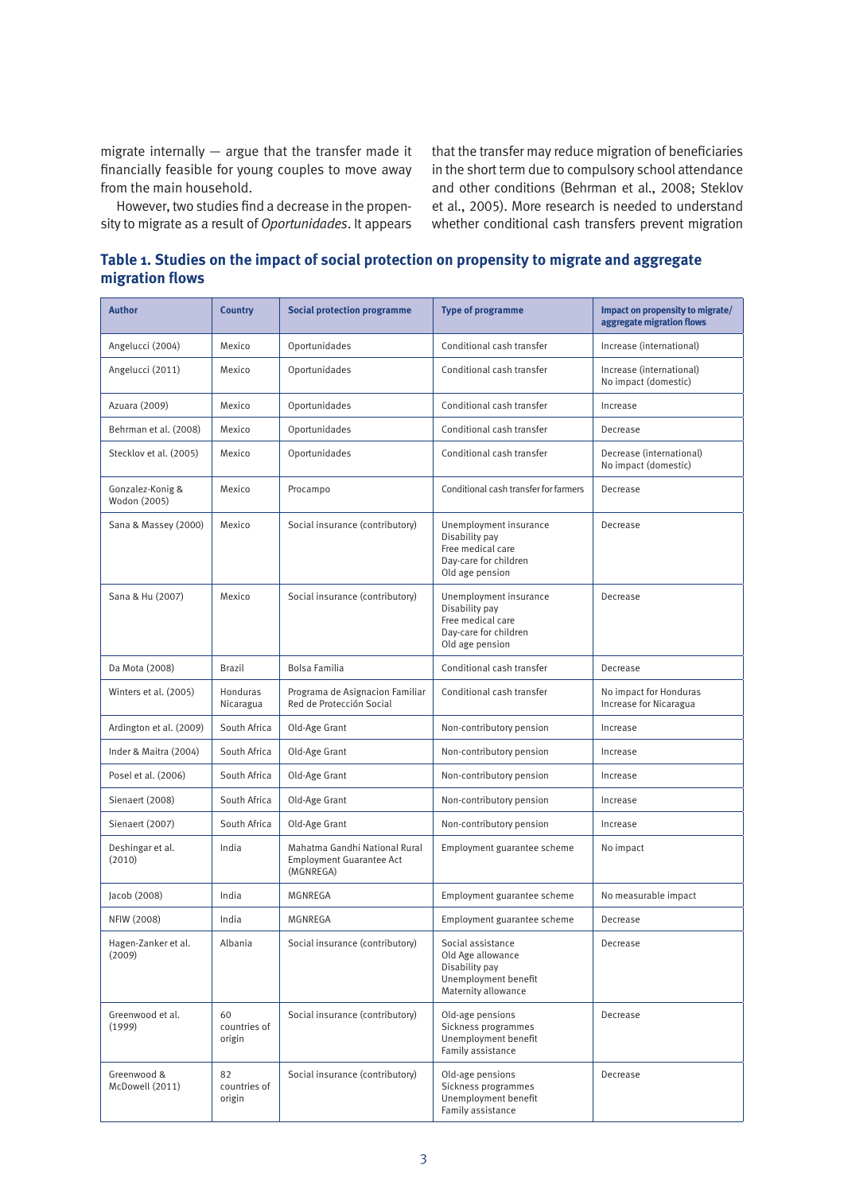migrate internally — argue that the transfer made it financially feasible for young couples to move away from the main household.

However, two studies find a decrease in the propensity to migrate as a result of *Oportunidades*. It appears that the transfer may reduce migration of beneficiaries in the short term due to compulsory school attendance and other conditions (Behrman et al., 2008; Steklov et al., 2005). More research is needed to understand whether conditional cash transfers prevent migration

**Table 1. Studies on the impact of social protection on propensity to migrate and aggregate migration flows**

| <b>Author</b>                    | <b>Country</b>               | <b>Social protection programme</b>                                            | <b>Type of programme</b>                                                                                  | Impact on propensity to migrate/<br>aggregate migration flows |
|----------------------------------|------------------------------|-------------------------------------------------------------------------------|-----------------------------------------------------------------------------------------------------------|---------------------------------------------------------------|
| Angelucci (2004)                 | Mexico                       | Oportunidades                                                                 | Conditional cash transfer                                                                                 | Increase (international)                                      |
| Angelucci (2011)                 | Mexico                       | Oportunidades                                                                 | Conditional cash transfer                                                                                 | Increase (international)<br>No impact (domestic)              |
| Azuara (2009)                    | Mexico                       | Oportunidades                                                                 | Conditional cash transfer                                                                                 | Increase                                                      |
| Behrman et al. (2008)            | Mexico                       | Oportunidades                                                                 | Conditional cash transfer                                                                                 | Decrease                                                      |
| Stecklov et al. (2005)           | Mexico                       | Oportunidades                                                                 | Conditional cash transfer                                                                                 | Decrease (international)<br>No impact (domestic)              |
| Gonzalez-Konig &<br>Wodon (2005) | Mexico                       | Procampo                                                                      | Conditional cash transfer for farmers                                                                     | Decrease                                                      |
| Sana & Massey (2000)             | Mexico                       | Social insurance (contributory)                                               | Unemployment insurance<br>Disability pay<br>Free medical care<br>Day-care for children<br>Old age pension | Decrease                                                      |
| Sana & Hu (2007)                 | Mexico                       | Social insurance (contributory)                                               | Unemployment insurance<br>Disability pay<br>Free medical care<br>Day-care for children<br>Old age pension | Decrease                                                      |
| Da Mota (2008)                   | <b>Brazil</b>                | Bolsa Familia                                                                 | Conditional cash transfer                                                                                 | Decrease                                                      |
| Winters et al. (2005)            | Honduras<br>Nicaragua        | Programa de Asignacion Familiar<br>Red de Protección Social                   | Conditional cash transfer                                                                                 | No impact for Honduras<br>Increase for Nicaragua              |
| Ardington et al. (2009)          | South Africa                 | Old-Age Grant                                                                 | Non-contributory pension                                                                                  | Increase                                                      |
| Inder & Maitra (2004)            | South Africa                 | Old-Age Grant                                                                 | Non-contributory pension                                                                                  | Increase                                                      |
| Posel et al. (2006)              | South Africa                 | Old-Age Grant                                                                 | Non-contributory pension                                                                                  | Increase                                                      |
| Sienaert (2008)                  | South Africa                 | Old-Age Grant                                                                 | Non-contributory pension                                                                                  | Increase                                                      |
| Sienaert (2007)                  | South Africa                 | Old-Age Grant                                                                 | Non-contributory pension                                                                                  | Increase                                                      |
| Deshingar et al.<br>(2010)       | India                        | Mahatma Gandhi National Rural<br><b>Employment Guarantee Act</b><br>(MGNREGA) | Employment guarantee scheme                                                                               | No impact                                                     |
| Jacob (2008)                     | India                        | MGNREGA                                                                       | Employment guarantee scheme                                                                               | No measurable impact                                          |
| NFIW (2008)                      | India                        | MGNREGA                                                                       | Employment guarantee scheme                                                                               | Decrease                                                      |
| Hagen-Zanker et al.<br>(2009)    | Albania                      | Social insurance (contributory)                                               | Social assistance<br>Old Age allowance<br>Disability pay<br>Unemployment benefit<br>Maternity allowance   | Decrease                                                      |
| Greenwood et al.<br>(1999)       | 60<br>countries of<br>origin | Social insurance (contributory)                                               | Old-age pensions<br>Sickness programmes<br>Unemployment benefit<br>Family assistance                      | Decrease                                                      |
| Greenwood &<br>McDowell (2011)   | 82<br>countries of<br>origin | Social insurance (contributory)                                               | Old-age pensions<br>Sickness programmes<br>Unemployment benefit<br>Family assistance                      | Decrease                                                      |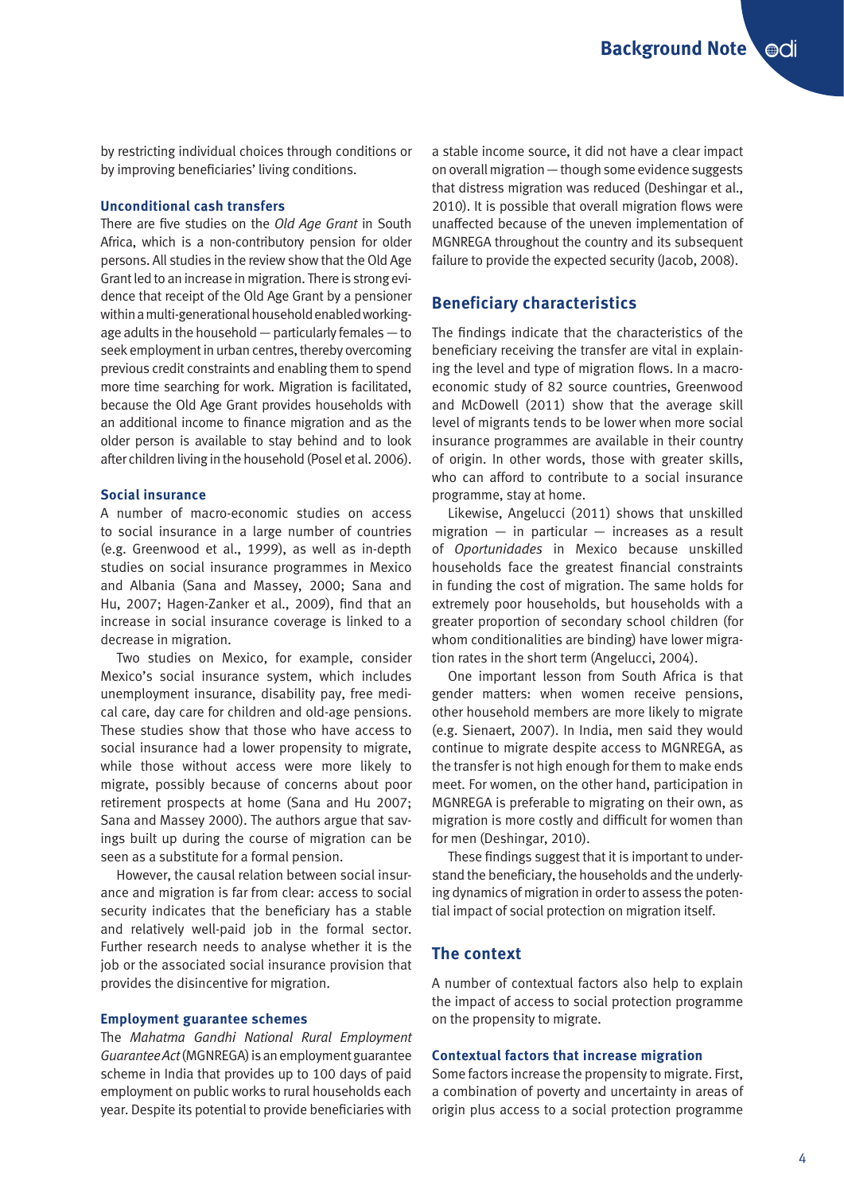**Background Note Odi** 

by restricting individual choices through conditions or by improving beneficiaries' living conditions.

#### **Unconditional cash transfers**

There are five studies on the *Old Age Grant* in South Africa, which is a non-contributory pension for older persons. All studies in the review show that the Old Age Grant led to an increase in migration. There is strong evidence that receipt of the Old Age Grant by a pensioner within a multi-generational household enabled workingage adults in the household — particularly females — to seek employment in urban centres, thereby overcoming previous credit constraints and enabling them to spend more time searching for work. Migration is facilitated, because the Old Age Grant provides households with an additional income to finance migration and as the older person is available to stay behind and to look after children living in the household (Posel et al. 2006).

#### **Social insurance**

A number of macro-economic studies on access to social insurance in a large number of countries (e.g. Greenwood et al., 1999), as well as in-depth studies on social insurance programmes in Mexico and Albania (Sana and Massey, 2000; Sana and Hu, 2007; Hagen-Zanker et al., 2009), find that an increase in social insurance coverage is linked to a decrease in migration.

Two studies on Mexico, for example, consider Mexico's social insurance system, which includes unemployment insurance, disability pay, free medical care, day care for children and old-age pensions. These studies show that those who have access to social insurance had a lower propensity to migrate, while those without access were more likely to migrate, possibly because of concerns about poor retirement prospects at home (Sana and Hu 2007; Sana and Massey 2000). The authors argue that savings built up during the course of migration can be seen as a substitute for a formal pension.

However, the causal relation between social insurance and migration is far from clear: access to social security indicates that the beneficiary has a stable and relatively well-paid job in the formal sector. Further research needs to analyse whether it is the job or the associated social insurance provision that provides the disincentive for migration.

#### **Employment guarantee schemes**

The *Mahatma Gandhi National Rural Employment Guarantee Act* (MGNREGA) is an employment guarantee scheme in India that provides up to 100 days of paid employment on public works to rural households each year. Despite its potential to provide beneficiaries with

a stable income source, it did not have a clear impact on overall migration — though some evidence suggests that distress migration was reduced (Deshingar et al., 2010). It is possible that overall migration flows were unaffected because of the uneven implementation of MGNREGA throughout the country and its subsequent failure to provide the expected security (Jacob, 2008).

#### **Beneficiary characteristics**

The findings indicate that the characteristics of the beneficiary receiving the transfer are vital in explaining the level and type of migration flows. In a macroeconomic study of 82 source countries, Greenwood and McDowell (2011) show that the average skill level of migrants tends to be lower when more social insurance programmes are available in their country of origin. In other words, those with greater skills, who can afford to contribute to a social insurance programme, stay at home.

Likewise, Angelucci (2011) shows that unskilled migration  $-$  in particular  $-$  increases as a result of *Oportunidades* in Mexico because unskilled households face the greatest financial constraints in funding the cost of migration. The same holds for extremely poor households, but households with a greater proportion of secondary school children (for whom conditionalities are binding) have lower migration rates in the short term (Angelucci, 2004).

One important lesson from South Africa is that gender matters: when women receive pensions, other household members are more likely to migrate (e.g. Sienaert, 2007). In India, men said they would continue to migrate despite access to MGNREGA, as the transfer is not high enough for them to make ends meet. For women, on the other hand, participation in MGNREGA is preferable to migrating on their own, as migration is more costly and difficult for women than for men (Deshingar, 2010).

These findings suggest that it is important to understand the beneficiary, the households and the underlying dynamics of migration in order to assess the potential impact of social protection on migration itself.

#### **The context**

A number of contextual factors also help to explain the impact of access to social protection programme on the propensity to migrate.

#### **Contextual factors that increase migration**

Some factors increase the propensity to migrate. First, a combination of poverty and uncertainty in areas of origin plus access to a social protection programme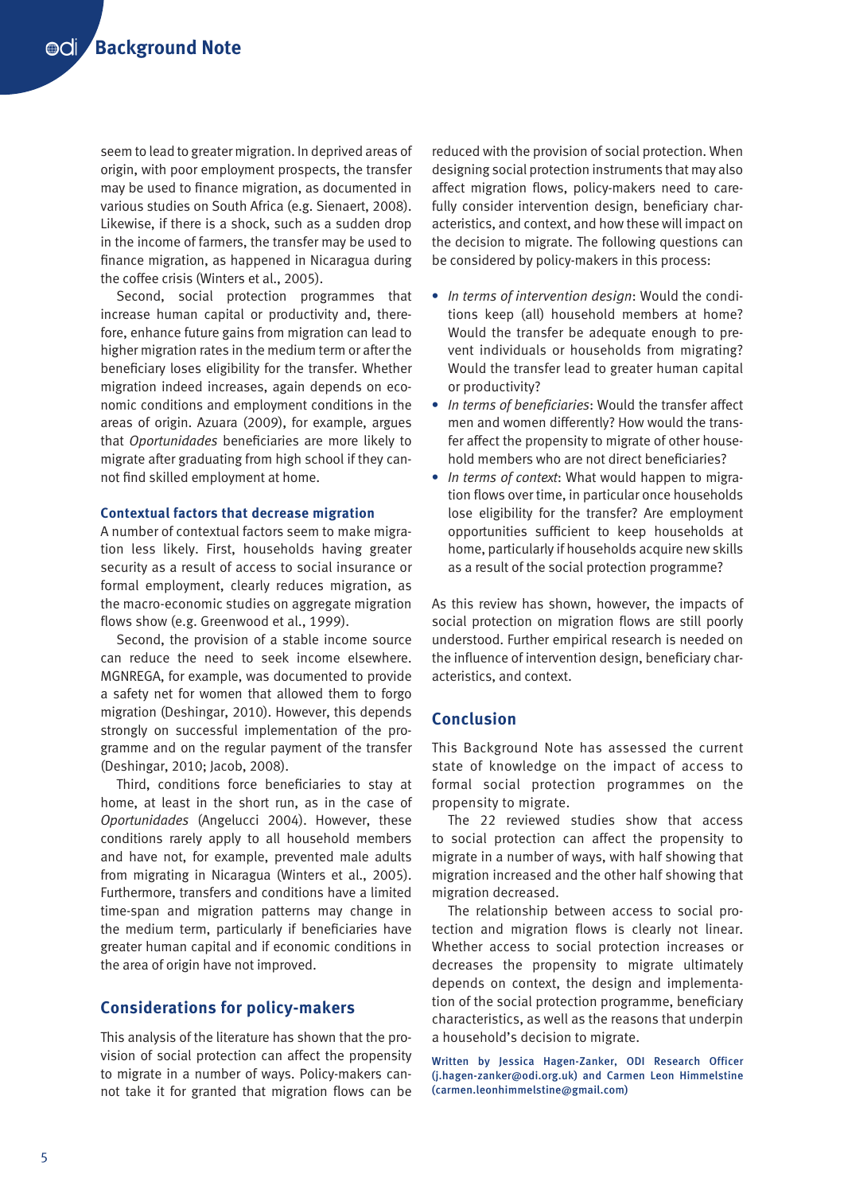seem to lead to greater migration. In deprived areas of origin, with poor employment prospects, the transfer may be used to finance migration, as documented in various studies on South Africa (e.g. Sienaert, 2008). Likewise, if there is a shock, such as a sudden drop in the income of farmers, the transfer may be used to finance migration, as happened in Nicaragua during the coffee crisis (Winters et al., 2005).

Second, social protection programmes that increase human capital or productivity and, therefore, enhance future gains from migration can lead to higher migration rates in the medium term or after the beneficiary loses eligibility for the transfer. Whether migration indeed increases, again depends on economic conditions and employment conditions in the areas of origin. Azuara (2009), for example, argues that *Oportunidades* beneficiaries are more likely to migrate after graduating from high school if they cannot find skilled employment at home.

#### **Contextual factors that decrease migration**

A number of contextual factors seem to make migration less likely. First, households having greater security as a result of access to social insurance or formal employment, clearly reduces migration, as the macro-economic studies on aggregate migration flows show (e.g. Greenwood et al., 1999).

Second, the provision of a stable income source can reduce the need to seek income elsewhere. MGNREGA, for example, was documented to provide a safety net for women that allowed them to forgo migration (Deshingar, 2010). However, this depends strongly on successful implementation of the programme and on the regular payment of the transfer (Deshingar, 2010; Jacob, 2008).

Third, conditions force beneficiaries to stay at home, at least in the short run, as in the case of *Oportunidades* (Angelucci 2004). However, these conditions rarely apply to all household members and have not, for example, prevented male adults from migrating in Nicaragua (Winters et al., 2005). Furthermore, transfers and conditions have a limited time-span and migration patterns may change in the medium term, particularly if beneficiaries have greater human capital and if economic conditions in the area of origin have not improved.

# **Considerations for policy-makers**

This analysis of the literature has shown that the provision of social protection can affect the propensity to migrate in a number of ways. Policy-makers cannot take it for granted that migration flows can be reduced with the provision of social protection. When designing social protection instruments that may also affect migration flows, policy-makers need to carefully consider intervention design, beneficiary characteristics, and context, and how these will impact on the decision to migrate. The following questions can be considered by policy-makers in this process:

- **•** *In terms of intervention design*: Would the conditions keep (all) household members at home? Would the transfer be adequate enough to prevent individuals or households from migrating? Would the transfer lead to greater human capital or productivity?
- **•** *In terms of beneficiaries*: Would the transfer affect men and women differently? How would the transfer affect the propensity to migrate of other household members who are not direct beneficiaries?
- **•** *In terms of context*: What would happen to migration flows over time, in particular once households lose eligibility for the transfer? Are employment opportunities sufficient to keep households at home, particularly if households acquire new skills as a result of the social protection programme?

As this review has shown, however, the impacts of social protection on migration flows are still poorly understood. Further empirical research is needed on the influence of intervention design, beneficiary characteristics, and context.

### **Conclusion**

This Background Note has assessed the current state of knowledge on the impact of access to formal social protection programmes on the propensity to migrate.

The 22 reviewed studies show that access to social protection can affect the propensity to migrate in a number of ways, with half showing that migration increased and the other half showing that migration decreased.

The relationship between access to social protection and migration flows is clearly not linear. Whether access to social protection increases or decreases the propensity to migrate ultimately depends on context, the design and implementation of the social protection programme, beneficiary characteristics, as well as the reasons that underpin a household's decision to migrate.

Written by Jessica Hagen-Zanker, ODI Research Officer (j.hagen-zanker@odi.org.uk) and Carmen Leon Himmelstine (carmen.leonhimmelstine@gmail.com)